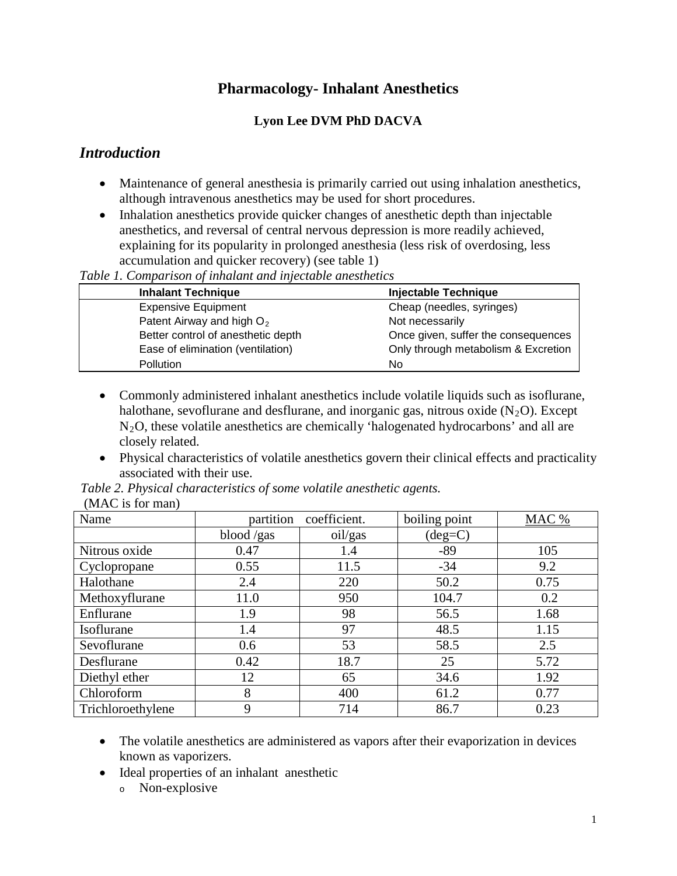# **Pharmacology- Inhalant Anesthetics**

### **Lyon Lee DVM PhD DACVA**

## *Introduction*

- Maintenance of general anesthesia is primarily carried out using inhalation anesthetics, although intravenous anesthetics may be used for short procedures.
- Inhalation anesthetics provide quicker changes of anesthetic depth than injectable anesthetics, and reversal of central nervous depression is more readily achieved, explaining for its popularity in prolonged anesthesia (less risk of overdosing, less accumulation and quicker recovery) (see table 1)

*Table 1. Comparison of inhalant and injectable anesthetics*

| <b>Inhalant Technique</b>             | <b>Injectable Technique</b>         |
|---------------------------------------|-------------------------------------|
| <b>Expensive Equipment</b>            | Cheap (needles, syringes)           |
| Patent Airway and high O <sub>2</sub> | Not necessarily                     |
| Better control of anesthetic depth    | Once given, suffer the consequences |
| Ease of elimination (ventilation)     | Only through metabolism & Excretion |
| <b>Pollution</b>                      | No                                  |

- Commonly administered inhalant anesthetics include volatile liquids such as isoflurane, halothane, sevoflurane and desflurane, and inorganic gas, nitrous oxide  $(N_2O)$ . Except N2 O, these volatile anesthetics are chemically 'halogenated hydrocarbons' and all are closely related.
- Physical characteristics of volatile anesthetics govern their clinical effects and practicality associated with their use.

| (1.111101011.01111)<br>Name | partition  | coefficient. | boiling point    | MAC % |
|-----------------------------|------------|--------------|------------------|-------|
|                             |            |              |                  |       |
|                             | blood /gas | oil/gas      | $(\text{deg=}C)$ |       |
| Nitrous oxide               | 0.47       | 1.4          | $-89$            | 105   |
| Cyclopropane                | 0.55       | 11.5         | $-34$            | 9.2   |
| Halothane                   | 2.4        | 220          | 50.2             | 0.75  |
| Methoxyflurane              | 11.0       | 950          | 104.7            | 0.2   |
| Enflurane                   | 1.9        | 98           | 56.5             | 1.68  |
| Isoflurane                  | 1.4        | 97           | 48.5             | 1.15  |
| Sevoflurane                 | 0.6        | 53           | 58.5             | 2.5   |
| Desflurane                  | 0.42       | 18.7         | 25               | 5.72  |
| Diethyl ether               | 12         | 65           | 34.6             | 1.92  |
| Chloroform                  | 8          | 400          | 61.2             | 0.77  |
| Trichloroethylene           | 9          | 714          | 86.7             | 0.23  |

*Table 2. Physical characteristics of some volatile anesthetic agents.* (MAC is for man)

- The volatile anesthetics are administered as vapors after their evaporization in devices known as vaporizers.
- Ideal properties of an inhalant anesthetic
	- <sup>o</sup> Non-explosive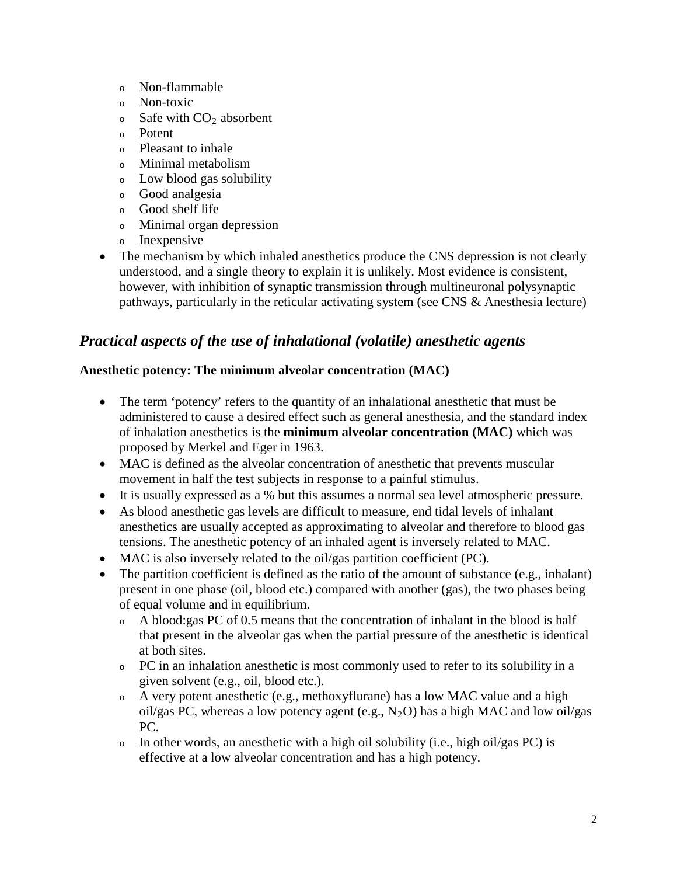- <sup>o</sup> Non-flammable
- <sup>o</sup> Non-toxic
- $\circ$  Safe with  $CO<sub>2</sub>$  absorbent
- <sup>o</sup> Potent
- <sup>o</sup> Pleasant to inhale
- <sup>o</sup> Minimal metabolism
- <sup>o</sup> Low blood gas solubility
- <sup>o</sup> Good analgesia
- <sup>o</sup> Good shelf life
- <sup>o</sup> Minimal organ depression
- <sup>o</sup> Inexpensive
- The mechanism by which inhaled anesthetics produce the CNS depression is not clearly understood, and a single theory to explain it is unlikely. Most evidence is consistent, however, with inhibition of synaptic transmission through multineuronal polysynaptic pathways, particularly in the reticular activating system (see CNS & Anesthesia lecture)

# *Practical aspects of the use of inhalational (volatile) anesthetic agents*

### **Anesthetic potency: The minimum alveolar concentration (MAC)**

- The term 'potency' refers to the quantity of an inhalational anesthetic that must be administered to cause a desired effect such as general anesthesia, and the standard index of inhalation anesthetics is the **minimum alveolar concentration (MAC)** which was proposed by Merkel and Eger in 1963.
- MAC is defined as the alveolar concentration of anesthetic that prevents muscular movement in half the test subjects in response to a painful stimulus.
- It is usually expressed as a % but this assumes a normal sea level atmospheric pressure.
- As blood anesthetic gas levels are difficult to measure, end tidal levels of inhalant anesthetics are usually accepted as approximating to alveolar and therefore to blood gas tensions. The anesthetic potency of an inhaled agent is inversely related to MAC.
- MAC is also inversely related to the oil/gas partition coefficient (PC).
- The partition coefficient is defined as the ratio of the amount of substance (e.g., inhalant) present in one phase (oil, blood etc.) compared with another (gas), the two phases being of equal volume and in equilibrium.
	- <sup>o</sup> A blood:gas PC of 0.5 means that the concentration of inhalant in the blood is half that present in the alveolar gas when the partial pressure of the anesthetic is identical at both sites.
	- <sup>o</sup> PC in an inhalation anesthetic is most commonly used to refer to its solubility in a given solvent (e.g., oil, blood etc.).
	- <sup>o</sup> A very potent anesthetic (e.g., methoxyflurane) has a low MAC value and a high oil/gas PC, whereas a low potency agent (e.g.,  $N_2O$ ) has a high MAC and low oil/gas PC.
	- <sup>o</sup> In other words, an anesthetic with a high oil solubility (i.e., high oil/gas PC) is effective at a low alveolar concentration and has a high potency.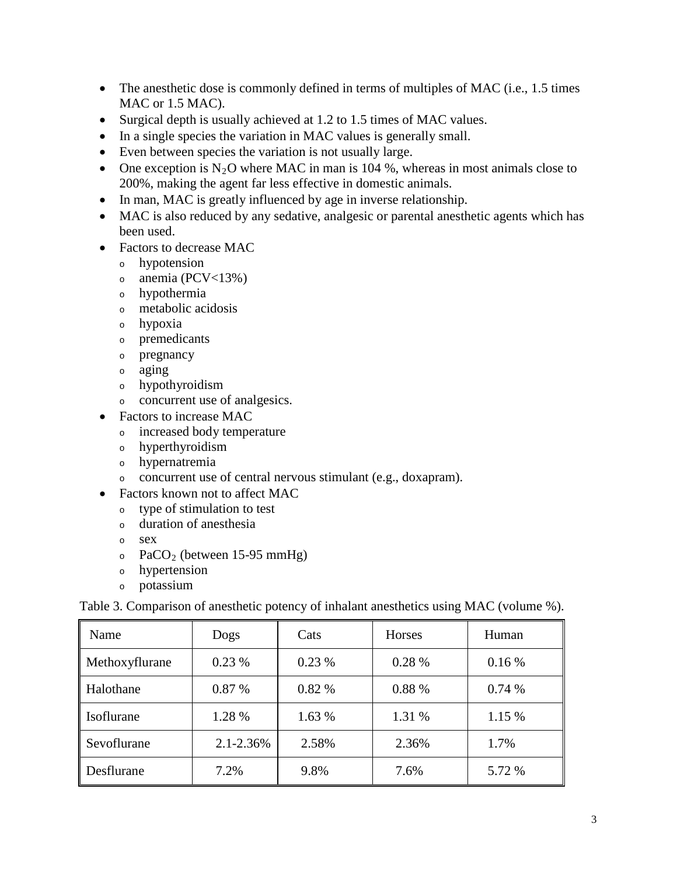- The anesthetic dose is commonly defined in terms of multiples of MAC (i.e., 1.5 times MAC or 1.5 MAC).
- Surgical depth is usually achieved at 1.2 to 1.5 times of MAC values.
- In a single species the variation in MAC values is generally small.
- Even between species the variation is not usually large.
- One exception is  $N_2O$  where MAC in man is 104 %, whereas in most animals close to 200%, making the agent far less effective in domestic animals.
- In man, MAC is greatly influenced by age in inverse relationship.
- MAC is also reduced by any sedative, analgesic or parental anesthetic agents which has been used.
- Factors to decrease MAC
	- <sup>o</sup> hypotension
	- $\circ$  anemia (PCV<13%)
	- <sup>o</sup> hypothermia
	- <sup>o</sup> metabolic acidosis
	- <sup>o</sup> hypoxia
	- <sup>o</sup> premedicants
	- <sup>o</sup> pregnancy
	- <sup>o</sup> aging
	- <sup>o</sup> hypothyroidism
	- <sup>o</sup> concurrent use of analgesics.
- Factors to increase MAC
	- <sup>o</sup> increased body temperature
	- <sup>o</sup> hyperthyroidism
	- <sup>o</sup> hypernatremia
	- <sup>o</sup> concurrent use of central nervous stimulant (e.g., doxapram).
- Factors known not to affect MAC
	- <sup>o</sup> type of stimulation to test
	- <sup>o</sup> duration of anesthesia
	- <sup>o</sup> sex
	- $\circ$  PaCO<sub>2</sub> (between 15-95 mmHg)
	- <sup>o</sup> hypertension
	- <sup>o</sup> potassium

Table 3. Comparison of anesthetic potency of inhalant anesthetics using MAC (volume %).

| Name           | Dogs           | Cats   | Horses | Human  |
|----------------|----------------|--------|--------|--------|
| Methoxyflurane | 0.23%          | 0.23%  | 0.28%  | 0.16%  |
| Halothane      | 0.87 %         | 0.82%  | 0.88 % | 0.74%  |
| Isoflurane     | 1.28 %         | 1.63 % | 1.31 % | 1.15 % |
| Sevoflurane    | $2.1 - 2.36\%$ | 2.58%  | 2.36%  | 1.7%   |
| Desflurane     | 7.2%           | 9.8%   | 7.6%   | 5.72 % |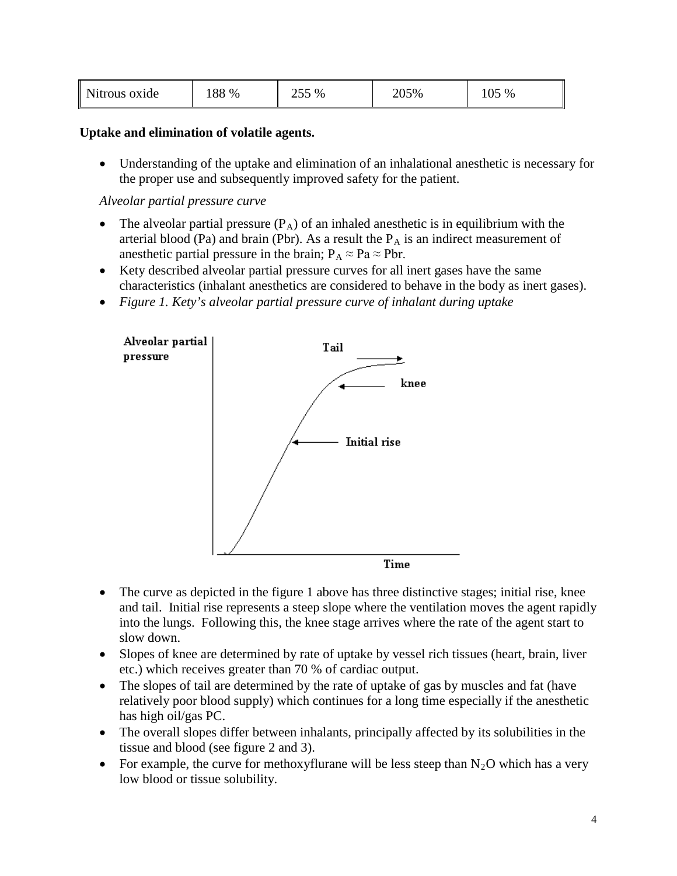| Nitrous oxide | 88 % | 255 % | 205% | ∩<<br>%<br>$\upsilon$ |
|---------------|------|-------|------|-----------------------|
|---------------|------|-------|------|-----------------------|

#### **Uptake and elimination of volatile agents.**

• Understanding of the uptake and elimination of an inhalational anesthetic is necessary for the proper use and subsequently improved safety for the patient.

*Alveolar partial pressure curve*

- The alveolar partial pressure  $(P_A)$  of an inhaled anesthetic is in equilibrium with the arterial blood (Pa) and brain (Pbr). As a result the  $P_A$  is an indirect measurement of anesthetic partial pressure in the brain;  $P_A \approx Pa \approx Pbr$ .
- Kety described alveolar partial pressure curves for all inert gases have the same characteristics (inhalant anesthetics are considered to behave in the body as inert gases).
- *Figure 1. Kety's alveolar partial pressure curve of inhalant during uptake*



- The curve as depicted in the figure 1 above has three distinctive stages; initial rise, knee and tail. Initial rise represents a steep slope where the ventilation moves the agent rapidly into the lungs. Following this, the knee stage arrives where the rate of the agent start to slow down.
- Slopes of knee are determined by rate of uptake by vessel rich tissues (heart, brain, liver etc.) which receives greater than 70 % of cardiac output.
- The slopes of tail are determined by the rate of uptake of gas by muscles and fat (have relatively poor blood supply) which continues for a long time especially if the anesthetic has high oil/gas PC.
- The overall slopes differ between inhalants, principally affected by its solubilities in the tissue and blood (see figure 2 and 3).
- For example, the curve for methoxyflurane will be less steep than  $N_2O$  which has a very low blood or tissue solubility.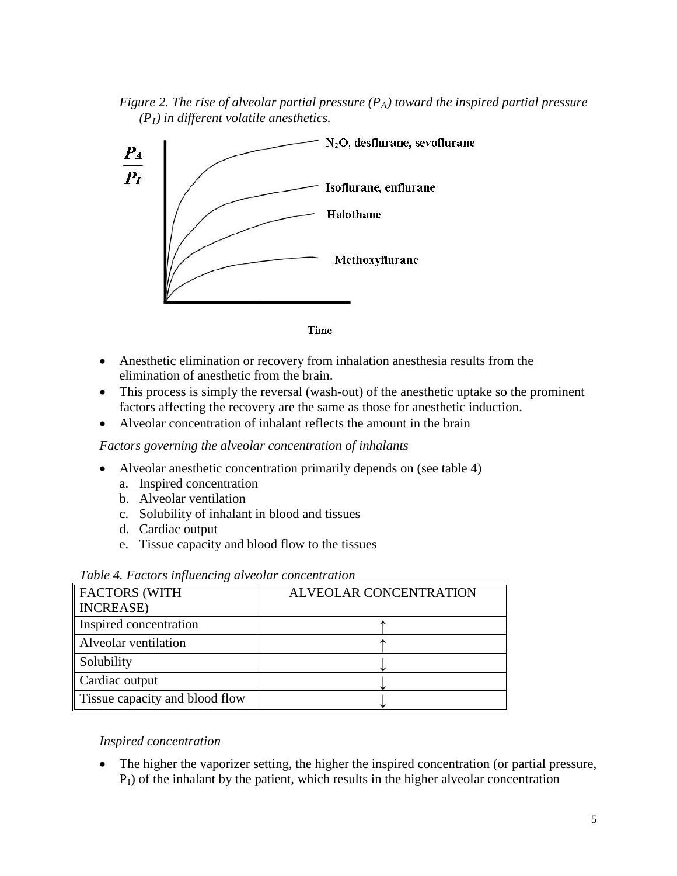*Figure 2. The rise of alveolar partial pressure*  $(P_A)$  toward the inspired partial pressure  $(P<sub>I</sub>)$  *in different volatile anesthetics.* 





- Anesthetic elimination or recovery from inhalation anesthesia results from the elimination of anesthetic from the brain.
- This process is simply the reversal (wash-out) of the anesthetic uptake so the prominent factors affecting the recovery are the same as those for anesthetic induction.
- Alveolar concentration of inhalant reflects the amount in the brain

*Factors governing the alveolar concentration of inhalants* 

- Alveolar anesthetic concentration primarily depends on (see table 4)
	- a. Inspired concentration
	- b. Alveolar ventilation
	- c. Solubility of inhalant in blood and tissues
	- d. Cardiac output
	- e. Tissue capacity and blood flow to the tissues

| FACTORS (WITH                  | <b>ALVEOLAR CONCENTRATION</b> |
|--------------------------------|-------------------------------|
| <b>NCREASE</b>                 |                               |
| Inspired concentration         |                               |
| Alveolar ventilation           |                               |
| Solubility                     |                               |
| Cardiac output                 |                               |
| Tissue capacity and blood flow |                               |

#### *Table 4. Factors influencing alveolar concentration*

#### *Inspired concentration*

• The higher the vaporizer setting, the higher the inspired concentration (or partial pressure,  $P_1$ ) of the inhalant by the patient, which results in the higher alveolar concentration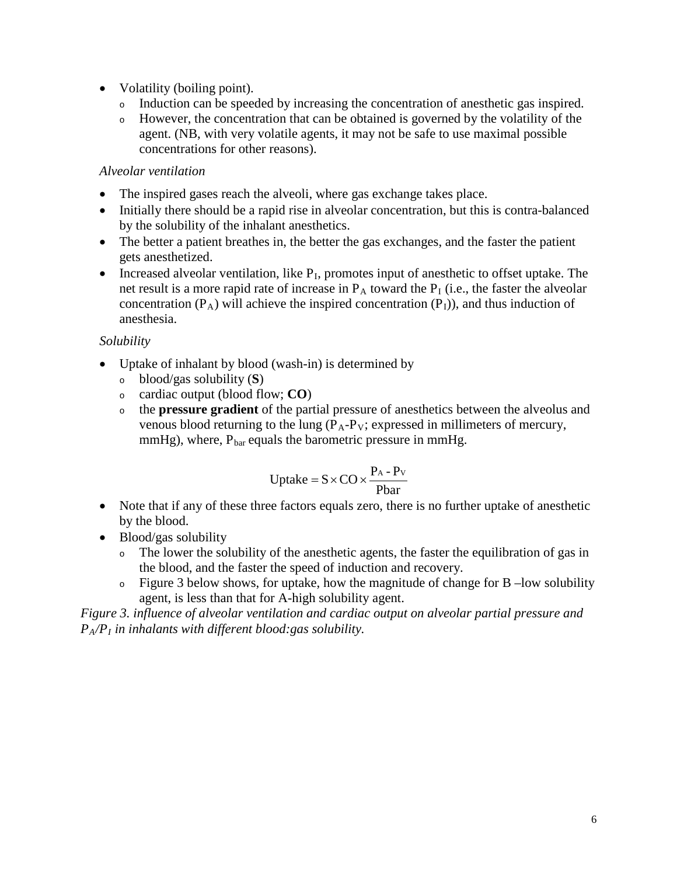- Volatility (boiling point).
	- <sup>o</sup> Induction can be speeded by increasing the concentration of anesthetic gas inspired.
	- <sup>o</sup> However, the concentration that can be obtained is governed by the volatility of the agent. (NB, with very volatile agents, it may not be safe to use maximal possible concentrations for other reasons).

### *Alveolar ventilation*

- The inspired gases reach the alveoli, where gas exchange takes place.
- Initially there should be a rapid rise in alveolar concentration, but this is contra-balanced by the solubility of the inhalant anesthetics.
- The better a patient breathes in, the better the gas exchanges, and the faster the patient gets anesthetized.
- Increased alveolar ventilation, like  $P<sub>I</sub>$ , promotes input of anesthetic to offset uptake. The net result is a more rapid rate of increase in  $P_A$  toward the  $P_I$  (i.e., the faster the alveolar concentration  $(P_A)$  will achieve the inspired concentration  $(P_I)$ ), and thus induction of anesthesia.

### *Solubility*

- Uptake of inhalant by blood (wash-in) is determined by
	- <sup>o</sup> blood/gas solubility (**S**)
	- <sup>o</sup> cardiac output (blood flow; **CO**)
	- <sup>o</sup> the **pressure gradient** of the partial pressure of anesthetics between the alveolus and venous blood returning to the lung  $(P_A-P_V;$  expressed in millimeters of mercury, mmHg), where,  $P_{bar}$  equals the barometric pressure in mmHg.

$$
Update = S \times CO \times \frac{P_A - P_V}{Pbar}
$$

- Note that if any of these three factors equals zero, there is no further uptake of anesthetic by the blood.
- Blood/gas solubility
	- <sup>o</sup> The lower the solubility of the anesthetic agents, the faster the equilibration of gas in the blood, and the faster the speed of induction and recovery.
	- <sup>o</sup> Figure 3 below shows, for uptake, how the magnitude of change for B –low solubility agent, is less than that for A-high solubility agent.

*Figure 3. influence of alveolar ventilation and cardiac output on alveolar partial pressure and PA/PI in inhalants with different blood:gas solubility.*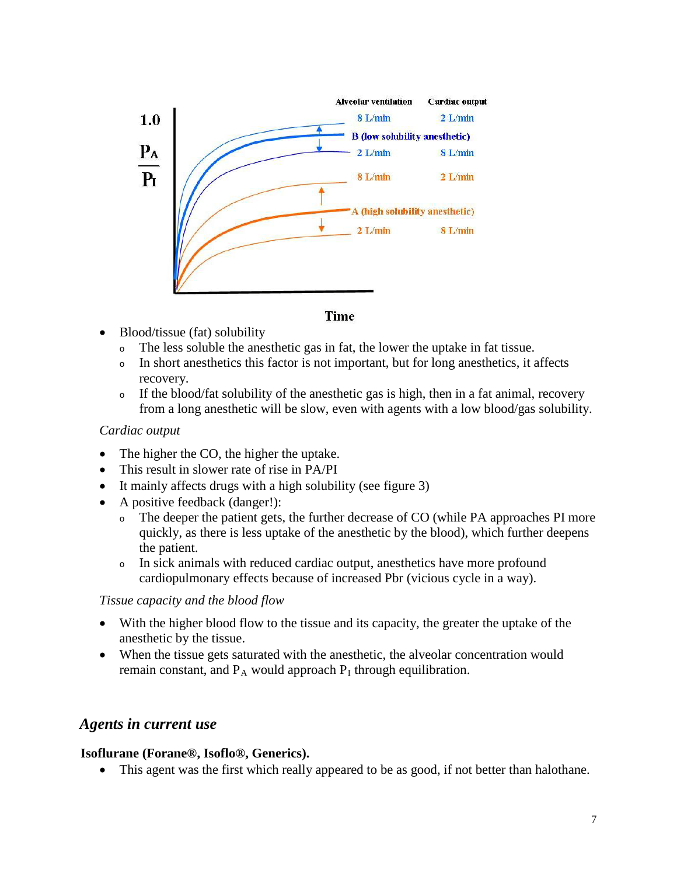

#### **Time**

- Blood/tissue (fat) solubility
	- <sup>o</sup> The less soluble the anesthetic gas in fat, the lower the uptake in fat tissue.
	- <sup>o</sup> In short anesthetics this factor is not important, but for long anesthetics, it affects recovery.
	- <sup>o</sup> If the blood/fat solubility of the anesthetic gas is high, then in a fat animal, recovery from a long anesthetic will be slow, even with agents with a low blood/gas solubility.

#### *Cardiac output*

- The higher the CO, the higher the uptake.
- This result in slower rate of rise in PA/PI
- It mainly affects drugs with a high solubility (see figure 3)
- A positive feedback (danger!):
	- <sup>o</sup> The deeper the patient gets, the further decrease of CO (while PA approaches PI more quickly, as there is less uptake of the anesthetic by the blood), which further deepens the patient.
	- <sup>o</sup> In sick animals with reduced cardiac output, anesthetics have more profound cardiopulmonary effects because of increased Pbr (vicious cycle in a way).

#### *Tissue capacity and the blood flow*

- With the higher blood flow to the tissue and its capacity, the greater the uptake of the anesthetic by the tissue.
- When the tissue gets saturated with the anesthetic, the alveolar concentration would remain constant, and  $P_A$  would approach  $P_I$  through equilibration.

### *Agents in current use*

#### **Isoflurane (Forane®, Isoflo®, Generics).**

• This agent was the first which really appeared to be as good, if not better than halothane.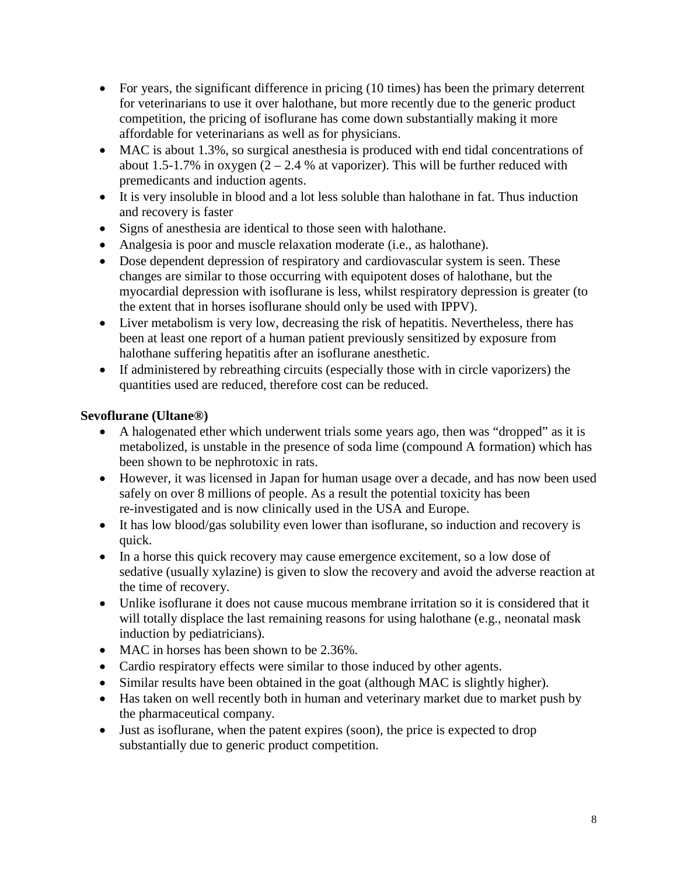- For years, the significant difference in pricing (10 times) has been the primary deterrent for veterinarians to use it over halothane, but more recently due to the generic product competition, the pricing of isoflurane has come down substantially making it more affordable for veterinarians as well as for physicians.
- MAC is about 1.3%, so surgical anesthesia is produced with end tidal concentrations of about 1.5-1.7% in oxygen  $(2 – 2.4 %$  at vaporizer). This will be further reduced with premedicants and induction agents.
- It is very insoluble in blood and a lot less soluble than halothane in fat. Thus induction and recovery is faster
- Signs of anesthesia are identical to those seen with halothane.
- Analgesia is poor and muscle relaxation moderate (i.e., as halothane).
- Dose dependent depression of respiratory and cardiovascular system is seen. These changes are similar to those occurring with equipotent doses of halothane, but the myocardial depression with isoflurane is less, whilst respiratory depression is greater (to the extent that in horses isoflurane should only be used with IPPV).
- Liver metabolism is very low, decreasing the risk of hepatitis. Nevertheless, there has been at least one report of a human patient previously sensitized by exposure from halothane suffering hepatitis after an isoflurane anesthetic.
- If administered by rebreathing circuits (especially those with in circle vaporizers) the quantities used are reduced, therefore cost can be reduced.

### **Sevoflurane (Ultane®)**

- A halogenated ether which underwent trials some years ago, then was "dropped" as it is metabolized, is unstable in the presence of soda lime (compound A formation) which has been shown to be nephrotoxic in rats.
- However, it was licensed in Japan for human usage over a decade, and has now been used safely on over 8 millions of people. As a result the potential toxicity has been re-investigated and is now clinically used in the USA and Europe.
- It has low blood/gas solubility even lower than isoflurane, so induction and recovery is quick.
- In a horse this quick recovery may cause emergence excitement, so a low dose of sedative (usually xylazine) is given to slow the recovery and avoid the adverse reaction at the time of recovery.
- Unlike isoflurane it does not cause mucous membrane irritation so it is considered that it will totally displace the last remaining reasons for using halothane (e.g., neonatal mask induction by pediatricians).
- MAC in horses has been shown to be 2.36%.
- Cardio respiratory effects were similar to those induced by other agents.
- Similar results have been obtained in the goat (although MAC is slightly higher).
- Has taken on well recently both in human and veterinary market due to market push by the pharmaceutical company.
- Just as isoflurane, when the patent expires (soon), the price is expected to drop substantially due to generic product competition.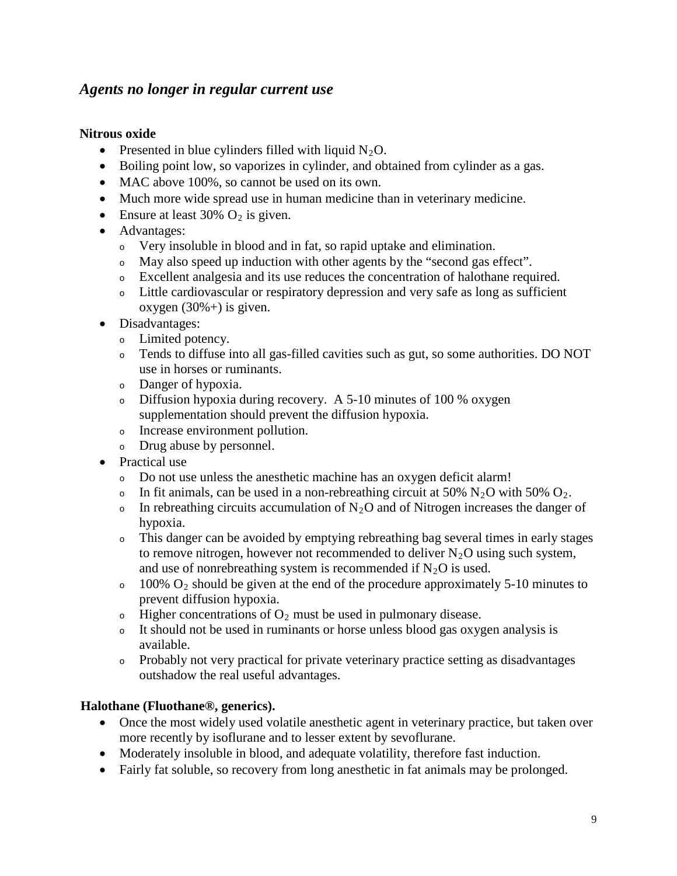## *Agents no longer in regular current use*

#### **Nitrous oxide**

- Presented in blue cylinders filled with liquid  $N_2O$ .
- Boiling point low, so vaporizes in cylinder, and obtained from cylinder as a gas.
- MAC above 100%, so cannot be used on its own.
- Much more wide spread use in human medicine than in veterinary medicine.
- Ensure at least 30%  $O_2$  is given.
- Advantages:
	- <sup>o</sup> Very insoluble in blood and in fat, so rapid uptake and elimination.
	- <sup>o</sup> May also speed up induction with other agents by the "second gas effect".
	- <sup>o</sup> Excellent analgesia and its use reduces the concentration of halothane required.
	- <sup>o</sup> Little cardiovascular or respiratory depression and very safe as long as sufficient oxygen  $(30\% + )$  is given.
- Disadvantages:
	- <sup>o</sup> Limited potency.
	- <sup>o</sup> Tends to diffuse into all gas-filled cavities such as gut, so some authorities. DO NOT use in horses or ruminants.
	- <sup>o</sup> Danger of hypoxia.
	- <sup>o</sup> Diffusion hypoxia during recovery. A 5-10 minutes of 100 % oxygen supplementation should prevent the diffusion hypoxia.
	- <sup>o</sup> Increase environment pollution.
	- <sup>o</sup> Drug abuse by personnel.
- Practical use
	- <sup>o</sup> Do not use unless the anesthetic machine has an oxygen deficit alarm!
	- In fit animals, can be used in a non-rebreathing circuit at 50%  $N_2O$  with 50%  $O_2$ .
	- $\circ$  In rebreathing circuits accumulation of N<sub>2</sub>O and of Nitrogen increases the danger of hypoxia.
	- <sup>o</sup> This danger can be avoided by emptying rebreathing bag several times in early stages to remove nitrogen, however not recommended to deliver  $N_2O$  using such system, and use of nonrebreathing system is recommended if  $N_2O$  is used.
	- $\circ$  100% O<sub>2</sub> should be given at the end of the procedure approximately 5-10 minutes to prevent diffusion hypoxia.
	- $\circ$  Higher concentrations of  $O_2$  must be used in pulmonary disease.
	- <sup>o</sup> It should not be used in ruminants or horse unless blood gas oxygen analysis is available.
	- <sup>o</sup> Probably not very practical for private veterinary practice setting as disadvantages outshadow the real useful advantages.

### **Halothane (Fluothane®, generics).**

- Once the most widely used volatile anesthetic agent in veterinary practice, but taken over more recently by isoflurane and to lesser extent by sevoflurane.
- Moderately insoluble in blood, and adequate volatility, therefore fast induction.
- Fairly fat soluble, so recovery from long anesthetic in fat animals may be prolonged.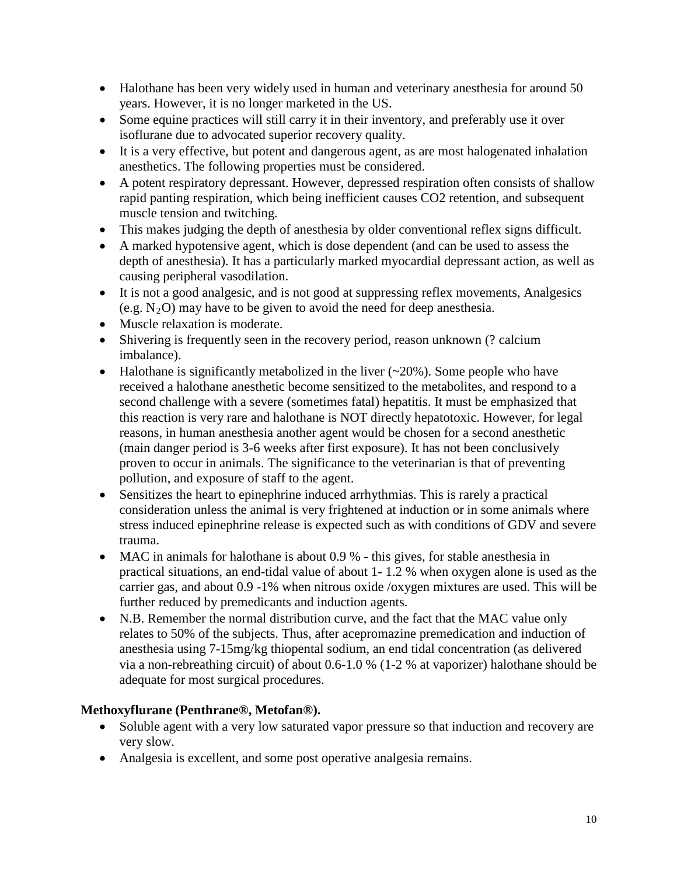- Halothane has been very widely used in human and veterinary anesthesia for around 50 years. However, it is no longer marketed in the US.
- Some equine practices will still carry it in their inventory, and preferably use it over isoflurane due to advocated superior recovery quality.
- It is a very effective, but potent and dangerous agent, as are most halogenated inhalation anesthetics. The following properties must be considered.
- A potent respiratory depressant. However, depressed respiration often consists of shallow rapid panting respiration, which being inefficient causes CO2 retention, and subsequent muscle tension and twitching.
- This makes judging the depth of anesthesia by older conventional reflex signs difficult.
- A marked hypotensive agent, which is dose dependent (and can be used to assess the depth of anesthesia). It has a particularly marked myocardial depressant action, as well as causing peripheral vasodilation.
- It is not a good analgesic, and is not good at suppressing reflex movements, Analgesics (e.g.  $N_2O$ ) may have to be given to avoid the need for deep anesthesia.
- Muscle relaxation is moderate.
- Shivering is frequently seen in the recovery period, reason unknown (? calcium imbalance).
- Halothane is significantly metabolized in the liver  $(\sim 20\%)$ . Some people who have received a halothane anesthetic become sensitized to the metabolites, and respond to a second challenge with a severe (sometimes fatal) hepatitis. It must be emphasized that this reaction is very rare and halothane is NOT directly hepatotoxic. However, for legal reasons, in human anesthesia another agent would be chosen for a second anesthetic (main danger period is 3-6 weeks after first exposure). It has not been conclusively proven to occur in animals. The significance to the veterinarian is that of preventing pollution, and exposure of staff to the agent.
- Sensitizes the heart to epinephrine induced arrhythmias. This is rarely a practical consideration unless the animal is very frightened at induction or in some animals where stress induced epinephrine release is expected such as with conditions of GDV and severe trauma.
- MAC in animals for halothane is about 0.9 % this gives, for stable anesthesia in practical situations, an end-tidal value of about 1- 1.2 % when oxygen alone is used as the carrier gas, and about 0.9 -1% when nitrous oxide /oxygen mixtures are used. This will be further reduced by premedicants and induction agents.
- N.B. Remember the normal distribution curve, and the fact that the MAC value only relates to 50% of the subjects. Thus, after acepromazine premedication and induction of anesthesia using 7-15mg/kg thiopental sodium, an end tidal concentration (as delivered via a non-rebreathing circuit) of about 0.6-1.0 % (1-2 % at vaporizer) halothane should be adequate for most surgical procedures.

### **Methoxyflurane (Penthrane®, Metofan®).**

- Soluble agent with a very low saturated vapor pressure so that induction and recovery are very slow.
- Analgesia is excellent, and some post operative analgesia remains.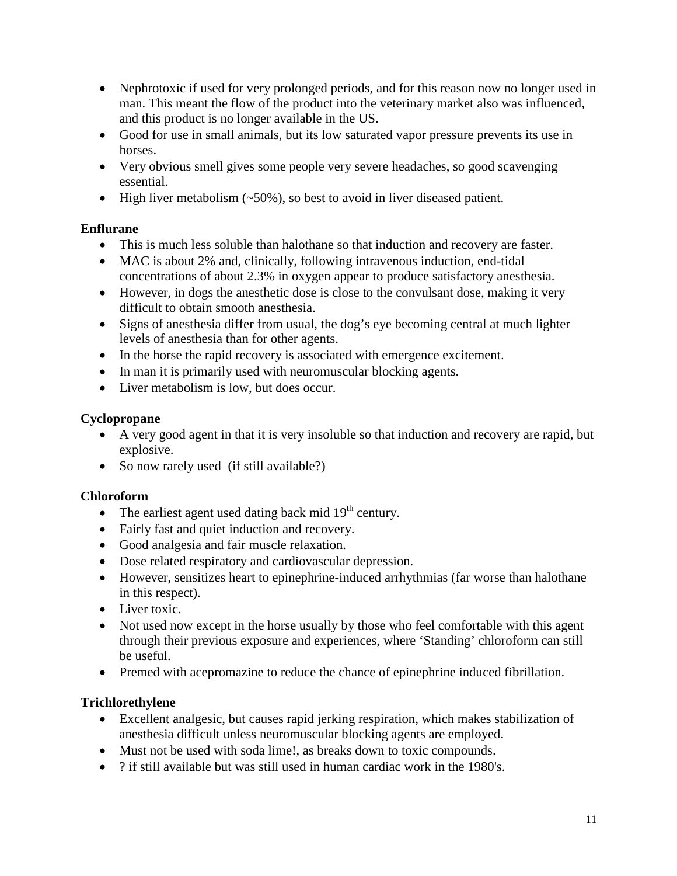- Nephrotoxic if used for very prolonged periods, and for this reason now no longer used in man. This meant the flow of the product into the veterinary market also was influenced, and this product is no longer available in the US.
- Good for use in small animals, but its low saturated vapor pressure prevents its use in horses.
- Very obvious smell gives some people very severe headaches, so good scavenging essential.
- High liver metabolism (~50%), so best to avoid in liver diseased patient.

## **Enflurane**

- This is much less soluble than halothane so that induction and recovery are faster.
- MAC is about 2% and, clinically, following intravenous induction, end-tidal concentrations of about 2.3% in oxygen appear to produce satisfactory anesthesia.
- However, in dogs the anesthetic dose is close to the convulsant dose, making it very difficult to obtain smooth anesthesia.
- Signs of anesthesia differ from usual, the dog's eye becoming central at much lighter levels of anesthesia than for other agents.
- In the horse the rapid recovery is associated with emergence excitement.
- In man it is primarily used with neuromuscular blocking agents.
- Liver metabolism is low, but does occur.

## **Cyclopropane**

- A very good agent in that it is very insoluble so that induction and recovery are rapid, but explosive.
- So now rarely used (if still available?)

## **Chloroform**

- The earliest agent used dating back mid  $19<sup>th</sup>$  century.
- Fairly fast and quiet induction and recovery.
- Good analgesia and fair muscle relaxation.
- Dose related respiratory and cardiovascular depression.
- However, sensitizes heart to epinephrine-induced arrhythmias (far worse than halothane in this respect).
- Liver toxic.
- Not used now except in the horse usually by those who feel comfortable with this agent through their previous exposure and experiences, where 'Standing' chloroform can still be useful.
- Premed with acepromazine to reduce the chance of epinephrine induced fibrillation.

## **Trichlorethylene**

- Excellent analgesic, but causes rapid jerking respiration, which makes stabilization of anesthesia difficult unless neuromuscular blocking agents are employed.
- Must not be used with soda lime!, as breaks down to toxic compounds.
- ? if still available but was still used in human cardiac work in the 1980's.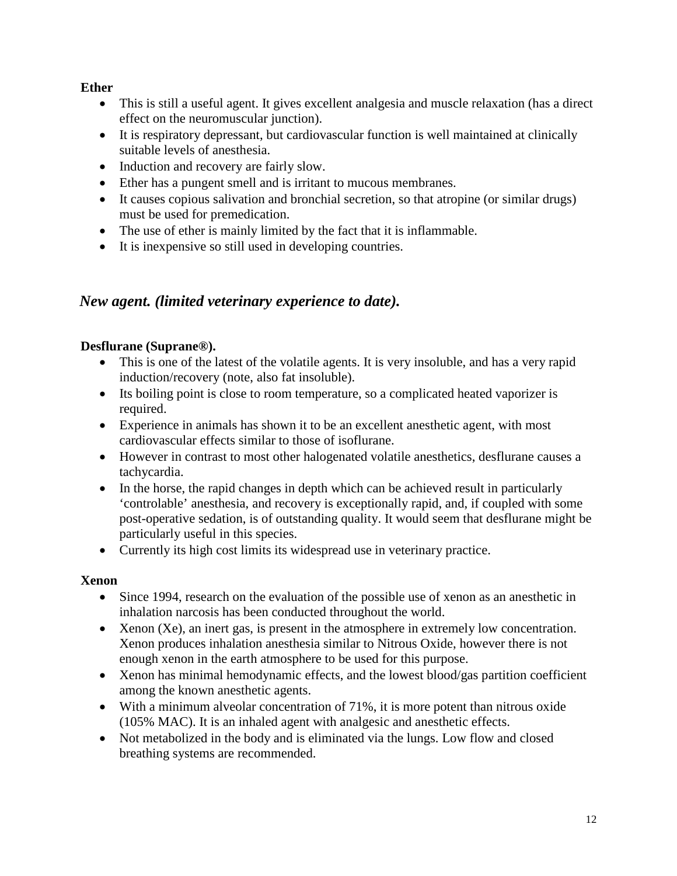### **Ether**

- This is still a useful agent. It gives excellent analgesia and muscle relaxation (has a direct effect on the neuromuscular junction).
- It is respiratory depressant, but cardiovascular function is well maintained at clinically suitable levels of anesthesia.
- Induction and recovery are fairly slow.
- Ether has a pungent smell and is irritant to mucous membranes.
- It causes copious salivation and bronchial secretion, so that atropine (or similar drugs) must be used for premedication.
- The use of ether is mainly limited by the fact that it is inflammable.
- It is inexpensive so still used in developing countries.

# *New agent. (limited veterinary experience to date).*

### **Desflurane (Suprane®).**

- This is one of the latest of the volatile agents. It is very insoluble, and has a very rapid induction/recovery (note, also fat insoluble).
- Its boiling point is close to room temperature, so a complicated heated vaporizer is required.
- Experience in animals has shown it to be an excellent anesthetic agent, with most cardiovascular effects similar to those of isoflurane.
- However in contrast to most other halogenated volatile anesthetics, desflurane causes a tachycardia.
- In the horse, the rapid changes in depth which can be achieved result in particularly 'controlable' anesthesia, and recovery is exceptionally rapid, and, if coupled with some post-operative sedation, is of outstanding quality. It would seem that desflurane might be particularly useful in this species.
- Currently its high cost limits its widespread use in veterinary practice.

## **Xenon**

- Since 1994, research on the evaluation of the possible use of xenon as an anesthetic in inhalation narcosis has been conducted throughout the world.
- Xenon (Xe), an inert gas, is present in the atmosphere in extremely low concentration. Xenon produces inhalation anesthesia similar to Nitrous Oxide, however there is not enough xenon in the earth atmosphere to be used for this purpose.
- Xenon has minimal hemodynamic effects, and the lowest blood/gas partition coefficient among the known anesthetic agents.
- With a minimum alveolar concentration of 71%, it is more potent than nitrous oxide (105% MAC). It is an inhaled agent with analgesic and anesthetic effects.
- Not metabolized in the body and is eliminated via the lungs. Low flow and closed breathing systems are recommended.